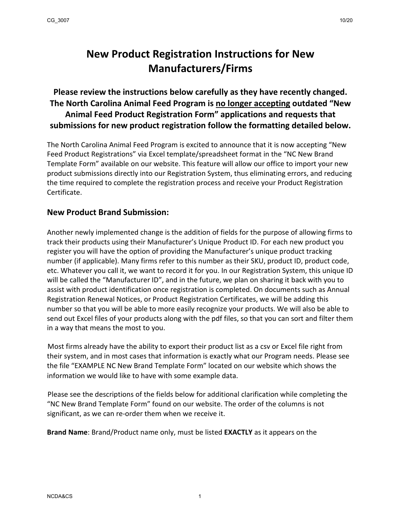## **New Product Registration Instructions for New Manufacturers/Firms**

**Please review the instructions below carefully as they have recently changed. The North Carolina Animal Feed Program is no longer accepting outdated "New Animal Feed Product Registration Form" applications and requests that submissions for new product registration follow the formatting detailed below.**

The North Carolina Animal Feed Program is excited to announce that it is now accepting "New Feed Product Registrations" via Excel template/spreadsheet format in the "NC New Brand Template Form" available on our website. This feature will allow our office to import your new product submissions directly into our Registration System, thus eliminating errors, and reducing the time required to complete the registration process and receive your Product Registration Certificate.

## **New Product Brand Submission:**

Another newly implemented change is the addition of fields for the purpose of allowing firms to track their products using their Manufacturer's Unique Product ID. For each new product you register you will have the option of providing the Manufacturer's unique product tracking number (if applicable). Many firms refer to this number as their SKU, product ID, product code, etc. Whatever you call it, we want to record it for you. In our Registration System, this unique ID will be called the "Manufacturer ID", and in the future, we plan on sharing it back with you to assist with product identification once registration is completed. On documents such as Annual Registration Renewal Notices, or Product Registration Certificates, we will be adding this number so that you will be able to more easily recognize your products. We will also be able to send out Excel files of your products along with the pdf files, so that you can sort and filter them in a way that means the most to you.

Most firms already have the ability to export their product list as a csv or Excel file right from their system, and in most cases that information is exactly what our Program needs. Please see the file "EXAMPLE NC New Brand Template Form" located on our website which shows the information we would like to have with some example data.

Please see the descriptions of the fields below for additional clarification while completing the "NC New Brand Template Form" found on our website. The order of the columns is not significant, as we can re-order them when we receive it.

**Brand Name**: Brand/Product name only, must be listed **EXACTLY** as it appears on the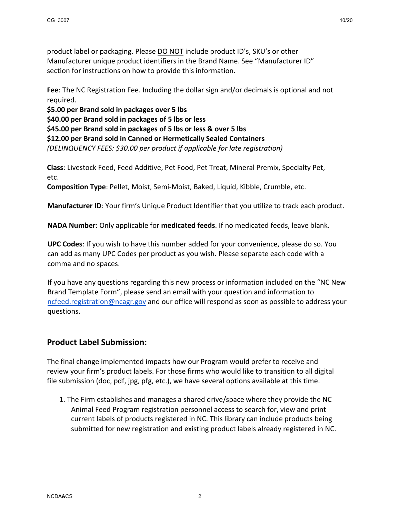product label or packaging. Please DO NOT include product ID's, SKU's or other Manufacturer unique product identifiers in the Brand Name. See "Manufacturer ID" section for instructions on how to provide this information.

**Fee**: The NC Registration Fee. Including the dollar sign and/or decimals is optional and not required.

**\$5.00 per Brand sold in packages over 5 lbs**

**\$40.00 per Brand sold in packages of 5 lbs or less**

**\$45.00 per Brand sold in packages of 5 lbs or less & over 5 lbs**

**\$12.00 per Brand sold in Canned or Hermetically Sealed Containers**

*(DELINQUENCY FEES: \$30.00 per product if applicable for late registration)*

**Class**: Livestock Feed, Feed Additive, Pet Food, Pet Treat, Mineral Premix, Specialty Pet, etc.

**Composition Type**: Pellet, Moist, Semi-Moist, Baked, Liquid, Kibble, Crumble, etc.

**Manufacturer ID**: Your firm's Unique Product Identifier that you utilize to track each product.

**NADA Number**: Only applicable for **medicated feeds**. If no medicated feeds, leave blank.

**UPC Codes**: If you wish to have this number added for your convenience, please do so. You can add as many UPC Codes per product as you wish. Please separate each code with a comma and no spaces.

If you have any questions regarding this new process or information included on the "NC New Brand Template Form", please send an email with your question and information to [ncfeed.registration@ncagr.gov](mailto:ncfeed.registration@ncagr.gov) and our office will respond as soon as possible to address your questions.

## **Product Label Submission:**

The final change implemented impacts how our Program would prefer to receive and review your firm's product labels. For those firms who would like to transition to all digital file submission (doc, pdf, jpg, pfg, etc.), we have several options available at this time.

1. The Firm establishes and manages a shared drive/space where they provide the NC Animal Feed Program registration personnel access to search for, view and print current labels of products registered in NC. This library can include products being submitted for new registration and existing product labels already registered in NC.